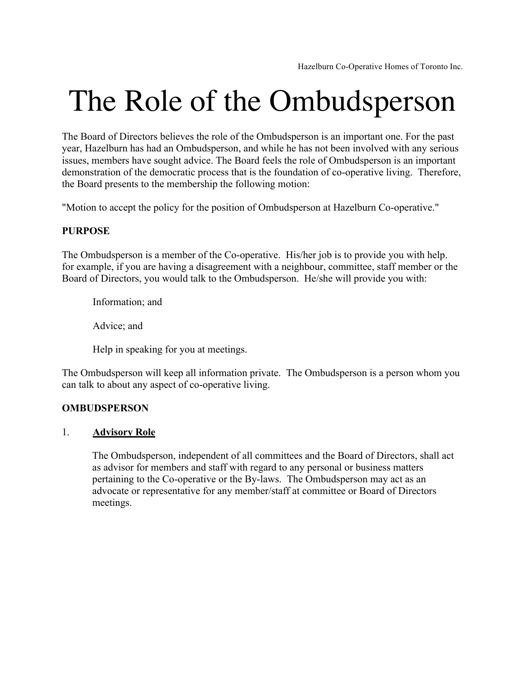# The Role of the Ombudsperson

The Board of Directors believes the role of the Ombudsperson is an important one. For the past year, Hazelburn has had an Ombudsperson, and while he has not been involved with any serious issues, members have sought advice. The Board feels the role of Ombudsperson is an important demonstration of the democratic process that is the foundation of co-operative living. Therefore, the Board presents to the membership the following motion:

"Motion to accept the policy for the position of Ombudsperson at Hazelburn Co-operative."

# **PURPOSE**

The Ombudsperson is a member of the Co-operative. His/her job is to provide you with help. for example, if you are having a disagreement with a neighbour, committee, staff member or the Board of Directors, you would talk to the Ombudsperson. He/she will provide you with:

Information; and

Advice; and

Help in speaking for you at meetings.

The Ombudsperson will keep all information private. The Ombudsperson is a person whom you can talk to about any aspect of co-operative living.

## **OMBUDSPERSON**

## 1. **Advisory Role**

The Ombudsperson, independent of all committees and the Board of Directors, shall act as advisor for members and staff with regard to any personal or business matters pertaining to the Co-operative or the By-laws. The Ombudsperson may act as an advocate or representative for any member/staff at committee or Board of Directors meetings.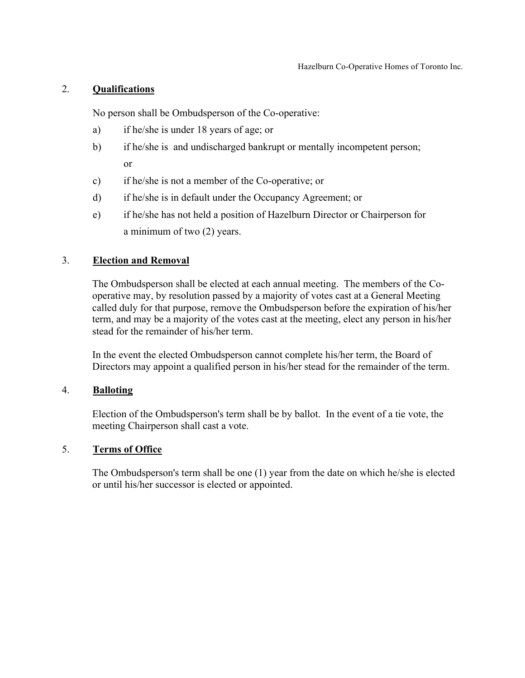## 2. **Qualifications**

No person shall be Ombudsperson of the Co-operative:

- a) if he/she is under 18 years of age; or
- b) if he/she is and undischarged bankrupt or mentally incompetent person; or
- c) if he/she is not a member of the Co-operative; or
- d) if he/she is in default under the Occupancy Agreement; or
- e) if he/she has not held a position of Hazelburn Director or Chairperson for a minimum of two (2) years.

# 3. **Election and Removal**

The Ombudsperson shall be elected at each annual meeting. The members of the Cooperative may, by resolution passed by a majority of votes cast at a General Meeting called duly for that purpose, remove the Ombudsperson before the expiration of his/her term, and may be a majority of the votes cast at the meeting, elect any person in his/her stead for the remainder of his/her term.

In the event the elected Ombudsperson cannot complete his/her term, the Board of Directors may appoint a qualified person in his/her stead for the remainder of the term.

## 4. **Balloting**

Election of the Ombudsperson's term shall be by ballot. In the event of a tie vote, the meeting Chairperson shall cast a vote.

## 5. **Terms of Office**

The Ombudsperson's term shall be one (1) year from the date on which he/she is elected or until his/her successor is elected or appointed.